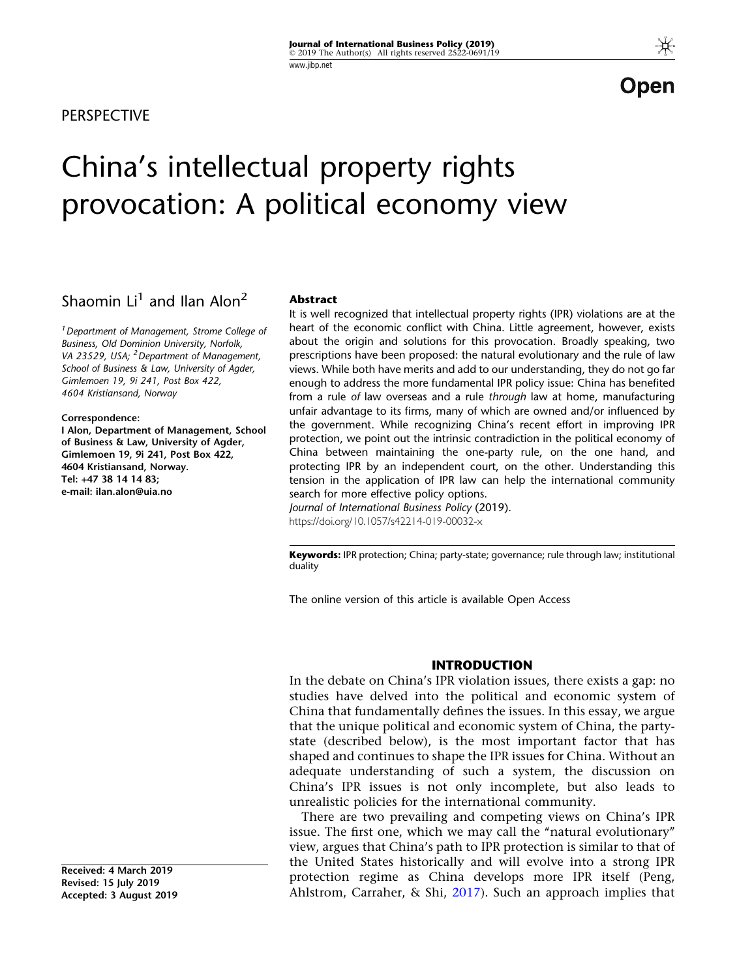**PERSPECTIVE** 

## Open

# China's intellectual property rights provocation: A political economy view

### Shaomin  $Li<sup>1</sup>$  and Ilan Alon<sup>2</sup>

<sup>1</sup> Department of Management, Strome College of Business, Old Dominion University, Norfolk, VA 23529, USA; <sup>2</sup> Department of Management, School of Business & Law, University of Agder, Gimlemoen 19, 9i 241, Post Box 422, 4604 Kristiansand, Norway

Correspondence:

I Alon, Department of Management, School of Business & Law, University of Agder, Gimlemoen 19, 9i 241, Post Box 422, 4604 Kristiansand, Norway. Tel: +47 38 14 14 83; e-mail: ilan.alon@uia.no

#### Abstract

It is well recognized that intellectual property rights (IPR) violations are at the heart of the economic conflict with China. Little agreement, however, exists about the origin and solutions for this provocation. Broadly speaking, two prescriptions have been proposed: the natural evolutionary and the rule of law views. While both have merits and add to our understanding, they do not go far enough to address the more fundamental IPR policy issue: China has benefited from a rule of law overseas and a rule through law at home, manufacturing unfair advantage to its firms, many of which are owned and/or influenced by the government. While recognizing China's recent effort in improving IPR protection, we point out the intrinsic contradiction in the political economy of China between maintaining the one-party rule, on the one hand, and protecting IPR by an independent court, on the other. Understanding this tension in the application of IPR law can help the international community search for more effective policy options.

Journal of International Business Policy (2019). https://doi.org/10.1057/s42214-019-00032-x

Keywords: IPR protection; China; party-state; governance; rule through law; institutional duality

The online version of this article is available Open Access

#### INTRODUCTION

In the debate on China's IPR violation issues, there exists a gap: no studies have delved into the political and economic system of China that fundamentally defines the issues. In this essay, we argue that the unique political and economic system of China, the partystate (described below), is the most important factor that has shaped and continues to shape the IPR issues for China. Without an adequate understanding of such a system, the discussion on China's IPR issues is not only incomplete, but also leads to unrealistic policies for the international community.

There are two prevailing and competing views on China's IPR issue. The first one, which we may call the "natural evolutionary" view, argues that China's path to IPR protection is similar to that of the United States historically and will evolve into a strong IPR protection regime as China develops more IPR itself (Peng, Ahlstrom, Carraher, & Shi,  $2017$ ). Such an approach implies that

Received: 4 March 2019 Revised: 15 July 2019 Accepted: 3 August 2019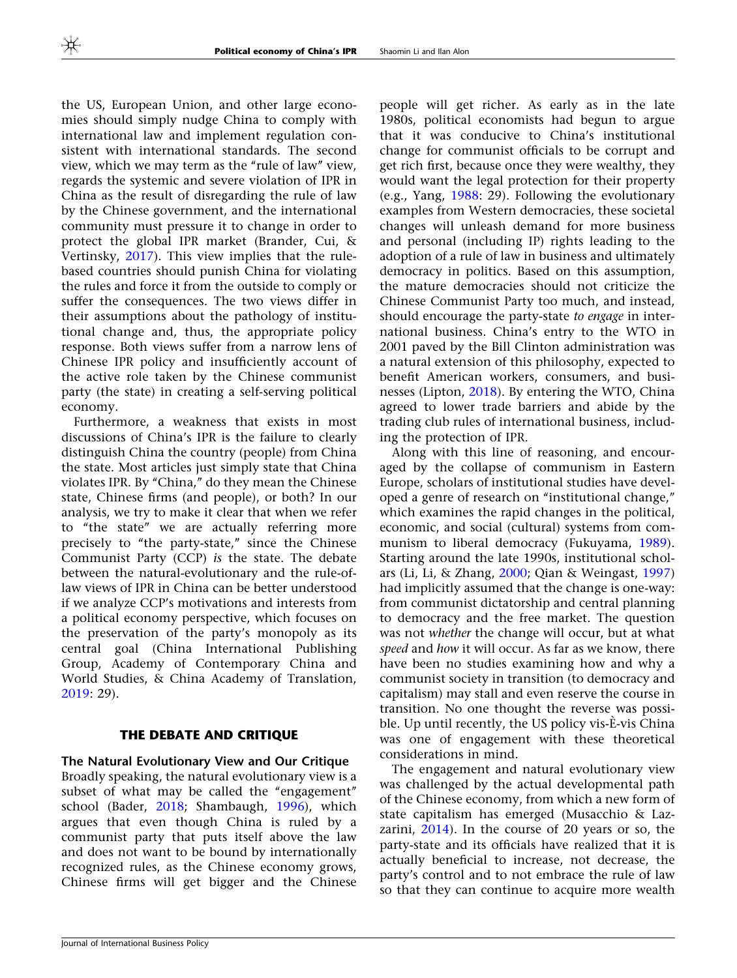the US, European Union, and other large economies should simply nudge China to comply with international law and implement regulation consistent with international standards. The second view, which we may term as the "rule of law" view, regards the systemic and severe violation of IPR in China as the result of disregarding the rule of law by the Chinese government, and the international community must pressure it to change in order to protect the global IPR market (Brander, Cui, & Vertinsky, [2017](#page-10-0)). This view implies that the rulebased countries should punish China for violating the rules and force it from the outside to comply or suffer the consequences. The two views differ in their assumptions about the pathology of institutional change and, thus, the appropriate policy response. Both views suffer from a narrow lens of Chinese IPR policy and insufficiently account of the active role taken by the Chinese communist party (the state) in creating a self-serving political economy.

Furthermore, a weakness that exists in most discussions of China's IPR is the failure to clearly distinguish China the country (people) from China the state. Most articles just simply state that China violates IPR. By "China," do they mean the Chinese state, Chinese firms (and people), or both? In our analysis, we try to make it clear that when we refer to ''the state'' we are actually referring more precisely to "the party-state," since the Chinese Communist Party (CCP) is the state. The debate between the natural-evolutionary and the rule-oflaw views of IPR in China can be better understood if we analyze CCP's motivations and interests from a political economy perspective, which focuses on the preservation of the party's monopoly as its central goal (China International Publishing Group, Academy of Contemporary China and World Studies, & China Academy of Translation, [2019:](#page-10-0) 29).

#### THE DEBATE AND CRITIQUE

The Natural Evolutionary View and Our Critique Broadly speaking, the natural evolutionary view is a subset of what may be called the "engagement" school (Bader, [2018;](#page-10-0) Shambaugh, [1996](#page-11-0)), which argues that even though China is ruled by a communist party that puts itself above the law and does not want to be bound by internationally recognized rules, as the Chinese economy grows, Chinese firms will get bigger and the Chinese

people will get richer. As early as in the late 1980s, political economists had begun to argue that it was conducive to China's institutional change for communist officials to be corrupt and get rich first, because once they were wealthy, they would want the legal protection for their property (e.g., Yang, [1988](#page-12-0): 29). Following the evolutionary examples from Western democracies, these societal changes will unleash demand for more business and personal (including IP) rights leading to the adoption of a rule of law in business and ultimately democracy in politics. Based on this assumption, the mature democracies should not criticize the Chinese Communist Party too much, and instead, should encourage the party-state to engage in international business. China's entry to the WTO in 2001 paved by the Bill Clinton administration was a natural extension of this philosophy, expected to benefit American workers, consumers, and businesses (Lipton, [2018\)](#page-10-0). By entering the WTO, China agreed to lower trade barriers and abide by the trading club rules of international business, including the protection of IPR.

Along with this line of reasoning, and encouraged by the collapse of communism in Eastern Europe, scholars of institutional studies have developed a genre of research on ''institutional change,'' which examines the rapid changes in the political, economic, and social (cultural) systems from communism to liberal democracy (Fukuyama, [1989](#page-10-0)). Starting around the late 1990s, institutional scholars (Li, Li, & Zhang, [2000](#page-10-0); Qian & Weingast, [1997](#page-11-0)) had implicitly assumed that the change is one-way: from communist dictatorship and central planning to democracy and the free market. The question was not whether the change will occur, but at what speed and how it will occur. As far as we know, there have been no studies examining how and why a communist society in transition (to democracy and capitalism) may stall and even reserve the course in transition. No one thought the reverse was possible. Up until recently, the US policy vis-E-vis China was one of engagement with these theoretical considerations in mind.

The engagement and natural evolutionary view was challenged by the actual developmental path of the Chinese economy, from which a new form of state capitalism has emerged (Musacchio & Lazzarini, [2014](#page-10-0)). In the course of 20 years or so, the party-state and its officials have realized that it is actually beneficial to increase, not decrease, the party's control and to not embrace the rule of law so that they can continue to acquire more wealth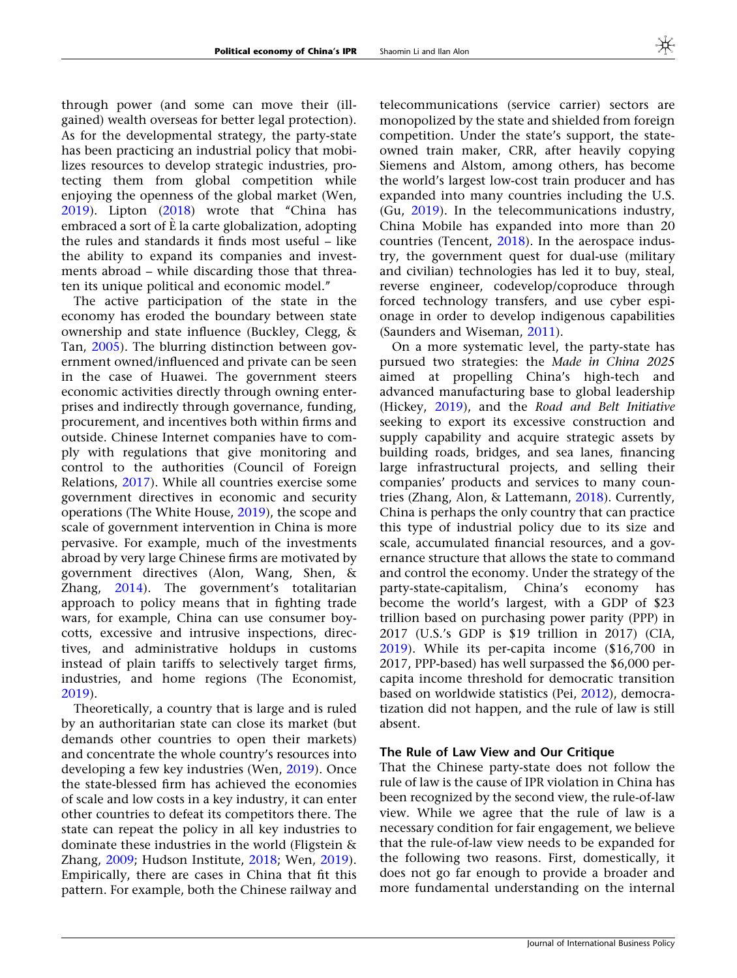through power (and some can move their (illgained) wealth overseas for better legal protection). As for the developmental strategy, the party-state has been practicing an industrial policy that mobilizes resources to develop strategic industries, protecting them from global competition while enjoying the openness of the global market (Wen, [2019\)](#page-11-0). Lipton ([2018](#page-10-0)) wrote that ''China has embraced a sort of  $\hat{E}$  la carte globalization, adopting the rules and standards it finds most useful – like the ability to expand its companies and investments abroad – while discarding those that threaten its unique political and economic model.''

The active participation of the state in the economy has eroded the boundary between state ownership and state influence (Buckley, Clegg, & Tan, [2005](#page-10-0)). The blurring distinction between government owned/influenced and private can be seen in the case of Huawei. The government steers economic activities directly through owning enterprises and indirectly through governance, funding, procurement, and incentives both within firms and outside. Chinese Internet companies have to comply with regulations that give monitoring and control to the authorities (Council of Foreign Relations, [2017\)](#page-10-0). While all countries exercise some government directives in economic and security operations (The White House, [2019\)](#page-11-0), the scope and scale of government intervention in China is more pervasive. For example, much of the investments abroad by very large Chinese firms are motivated by government directives (Alon, Wang, Shen, & Zhang, [2014\)](#page-10-0). The government's totalitarian approach to policy means that in fighting trade wars, for example, China can use consumer boycotts, excessive and intrusive inspections, directives, and administrative holdups in customs instead of plain tariffs to selectively target firms, industries, and home regions (The Economist, [2019\)](#page-11-0).

Theoretically, a country that is large and is ruled by an authoritarian state can close its market (but demands other countries to open their markets) and concentrate the whole country's resources into developing a few key industries (Wen, [2019](#page-11-0)). Once the state-blessed firm has achieved the economies of scale and low costs in a key industry, it can enter other countries to defeat its competitors there. The state can repeat the policy in all key industries to dominate these industries in the world (Fligstein & Zhang, [2009](#page-10-0); Hudson Institute, [2018](#page-10-0); Wen, [2019\)](#page-11-0). Empirically, there are cases in China that fit this pattern. For example, both the Chinese railway and

telecommunications (service carrier) sectors are monopolized by the state and shielded from foreign competition. Under the state's support, the stateowned train maker, CRR, after heavily copying Siemens and Alstom, among others, has become the world's largest low-cost train producer and has expanded into many countries including the U.S. (Gu, [2019](#page-10-0)). In the telecommunications industry, China Mobile has expanded into more than 20 countries (Tencent, [2018\)](#page-11-0). In the aerospace industry, the government quest for dual-use (military and civilian) technologies has led it to buy, steal, reverse engineer, codevelop/coproduce through forced technology transfers, and use cyber espionage in order to develop indigenous capabilities (Saunders and Wiseman, [2011](#page-11-0)).

On a more systematic level, the party-state has pursued two strategies: the Made in China 2025 aimed at propelling China's high-tech and advanced manufacturing base to global leadership (Hickey, [2019\)](#page-10-0), and the Road and Belt Initiative seeking to export its excessive construction and supply capability and acquire strategic assets by building roads, bridges, and sea lanes, financing large infrastructural projects, and selling their companies' products and services to many countries (Zhang, Alon, & Lattemann, [2018](#page-12-0)). Currently, China is perhaps the only country that can practice this type of industrial policy due to its size and scale, accumulated financial resources, and a governance structure that allows the state to command and control the economy. Under the strategy of the party-state-capitalism, China's economy has become the world's largest, with a GDP of \$23 trillion based on purchasing power parity (PPP) in 2017 (U.S.'s GDP is \$19 trillion in 2017) (CIA, [2019\)](#page-10-0). While its per-capita income (\$16,700 in 2017, PPP-based) has well surpassed the \$6,000 percapita income threshold for democratic transition based on worldwide statistics (Pei, [2012\)](#page-11-0), democratization did not happen, and the rule of law is still absent.

#### The Rule of Law View and Our Critique

That the Chinese party-state does not follow the rule of law is the cause of IPR violation in China has been recognized by the second view, the rule-of-law view. While we agree that the rule of law is a necessary condition for fair engagement, we believe that the rule-of-law view needs to be expanded for the following two reasons. First, domestically, it does not go far enough to provide a broader and more fundamental understanding on the internal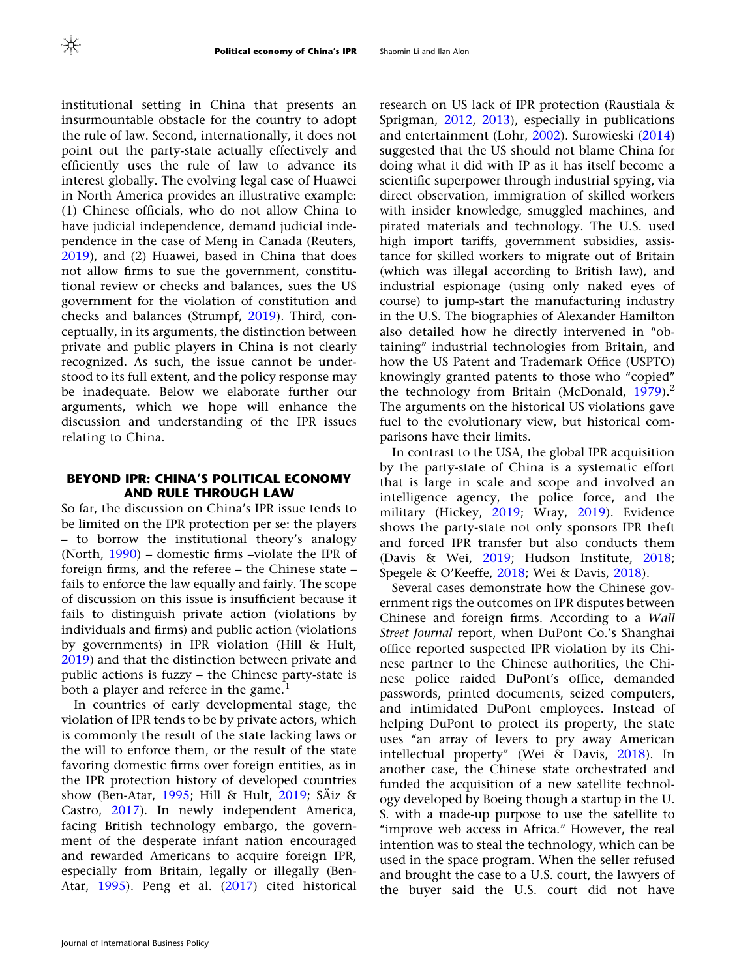institutional setting in China that presents an insurmountable obstacle for the country to adopt the rule of law. Second, internationally, it does not point out the party-state actually effectively and efficiently uses the rule of law to advance its interest globally. The evolving legal case of Huawei in North America provides an illustrative example: (1) Chinese officials, who do not allow China to have judicial independence, demand judicial independence in the case of Meng in Canada (Reuters, [2019\)](#page-11-0), and (2) Huawei, based in China that does not allow firms to sue the government, constitutional review or checks and balances, sues the US government for the violation of constitution and checks and balances (Strumpf, [2019](#page-11-0)). Third, conceptually, in its arguments, the distinction between private and public players in China is not clearly recognized. As such, the issue cannot be understood to its full extent, and the policy response may be inadequate. Below we elaborate further our arguments, which we hope will enhance the discussion and understanding of the IPR issues relating to China.

#### BEYOND IPR: CHINA'S POLITICAL ECONOMY AND RULE THROUGH LAW

So far, the discussion on China's IPR issue tends to be limited on the IPR protection per se: the players – to borrow the institutional theory's analogy (North, [1990\)](#page-10-0) – domestic firms –violate the IPR of foreign firms, and the referee – the Chinese state – fails to enforce the law equally and fairly. The scope of discussion on this issue is insufficient because it fails to distinguish private action (violations by individuals and firms) and public action (violations by governments) in IPR violation (Hill & Hult, [2019\)](#page-10-0) and that the distinction between private and public actions is fuzzy – the Chinese party-state is both a player and referee in the game.<sup>1</sup>

In countries of early developmental stage, the violation of IPR tends to be by private actors, which is commonly the result of the state lacking laws or the will to enforce them, or the result of the state favoring domestic firms over foreign entities, as in the IPR protection history of developed countries show (Ben-Atar, [1995;](#page-10-0) Hill & Hult, [2019](#page-10-0); SÄiz & Castro, [2017\)](#page-11-0). In newly independent America, facing British technology embargo, the government of the desperate infant nation encouraged and rewarded Americans to acquire foreign IPR, especially from Britain, legally or illegally (Ben-Atar, [1995\)](#page-10-0). Peng et al. ([2017\)](#page-11-0) cited historical

research on US lack of IPR protection (Raustiala & Sprigman, [2012,](#page-11-0) [2013\)](#page-11-0), especially in publications and entertainment (Lohr, [2002](#page-10-0)). Surowieski [\(2014](#page-11-0)) suggested that the US should not blame China for doing what it did with IP as it has itself become a scientific superpower through industrial spying, via direct observation, immigration of skilled workers with insider knowledge, smuggled machines, and pirated materials and technology. The U.S. used high import tariffs, government subsidies, assistance for skilled workers to migrate out of Britain (which was illegal according to British law), and industrial espionage (using only naked eyes of course) to jump-start the manufacturing industry in the U.S. The biographies of Alexander Hamilton also detailed how he directly intervened in ''obtaining'' industrial technologies from Britain, and how the US Patent and Trademark Office (USPTO) knowingly granted patents to those who ''copied'' the technology from Britain (McDonald,  $1979$ ).<sup>2</sup> The arguments on the historical US violations gave fuel to the evolutionary view, but historical comparisons have their limits.

In contrast to the USA, the global IPR acquisition by the party-state of China is a systematic effort that is large in scale and scope and involved an intelligence agency, the police force, and the military (Hickey, [2019;](#page-10-0) Wray, [2019\)](#page-11-0). Evidence shows the party-state not only sponsors IPR theft and forced IPR transfer but also conducts them (Davis & Wei, [2019](#page-10-0); Hudson Institute, [2018;](#page-10-0) Spegele & O'Keeffe, [2018;](#page-11-0) Wei & Davis, [2018\)](#page-11-0).

Several cases demonstrate how the Chinese government rigs the outcomes on IPR disputes between Chinese and foreign firms. According to a Wall Street Journal report, when DuPont Co.'s Shanghai office reported suspected IPR violation by its Chinese partner to the Chinese authorities, the Chinese police raided DuPont's office, demanded passwords, printed documents, seized computers, and intimidated DuPont employees. Instead of helping DuPont to protect its property, the state uses ''an array of levers to pry away American intellectual property'' (Wei & Davis, [2018\)](#page-11-0). In another case, the Chinese state orchestrated and funded the acquisition of a new satellite technology developed by Boeing though a startup in the U. S. with a made-up purpose to use the satellite to "improve web access in Africa." However, the real intention was to steal the technology, which can be used in the space program. When the seller refused and brought the case to a U.S. court, the lawyers of the buyer said the U.S. court did not have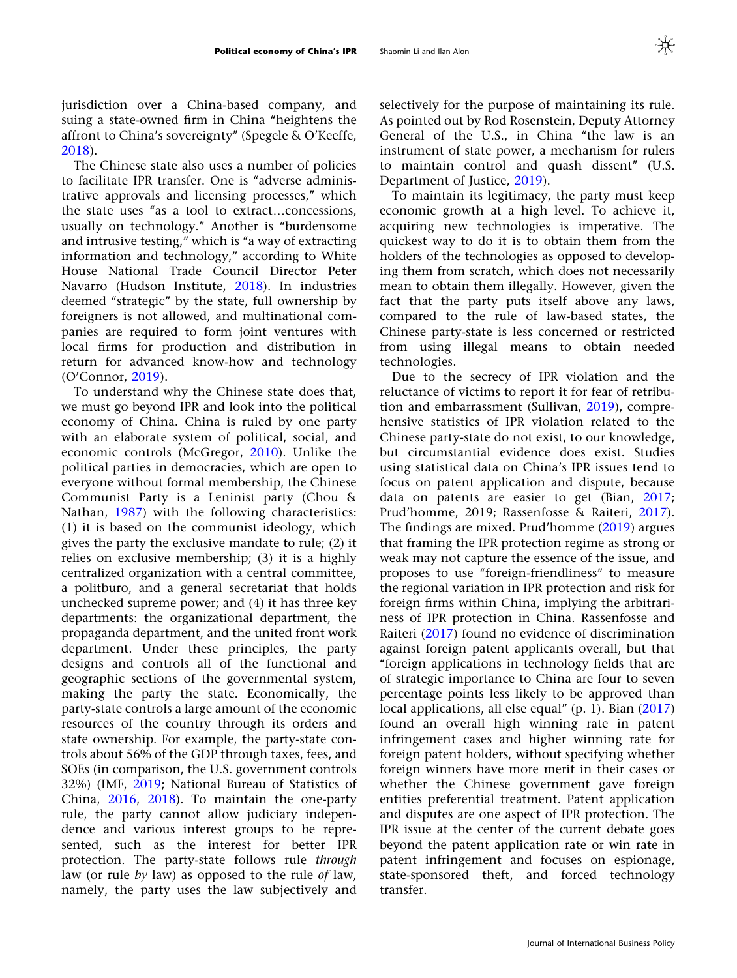jurisdiction over a China-based company, and suing a state-owned firm in China ''heightens the affront to China's sovereignty'' (Spegele & O'Keeffe, [2018\)](#page-11-0).

The Chinese state also uses a number of policies to facilitate IPR transfer. One is "adverse administrative approvals and licensing processes," which the state uses ''as a tool to extract…concessions, usually on technology.'' Another is ''burdensome and intrusive testing," which is "a way of extracting information and technology,'' according to White House National Trade Council Director Peter Navarro (Hudson Institute, [2018\)](#page-10-0). In industries deemed ''strategic'' by the state, full ownership by foreigners is not allowed, and multinational companies are required to form joint ventures with local firms for production and distribution in return for advanced know-how and technology (O'Connor, [2019](#page-11-0)).

To understand why the Chinese state does that, we must go beyond IPR and look into the political economy of China. China is ruled by one party with an elaborate system of political, social, and economic controls (McGregor, [2010](#page-10-0)). Unlike the political parties in democracies, which are open to everyone without formal membership, the Chinese Communist Party is a Leninist party (Chou & Nathan, [1987](#page-10-0)) with the following characteristics: (1) it is based on the communist ideology, which gives the party the exclusive mandate to rule; (2) it relies on exclusive membership; (3) it is a highly centralized organization with a central committee, a politburo, and a general secretariat that holds unchecked supreme power; and (4) it has three key departments: the organizational department, the propaganda department, and the united front work department. Under these principles, the party designs and controls all of the functional and geographic sections of the governmental system, making the party the state. Economically, the party-state controls a large amount of the economic resources of the country through its orders and state ownership. For example, the party-state controls about 56% of the GDP through taxes, fees, and SOEs (in comparison, the U.S. government controls 32%) (IMF, [2019](#page-10-0); National Bureau of Statistics of China, [2016](#page-10-0), [2018](#page-10-0)). To maintain the one-party rule, the party cannot allow judiciary independence and various interest groups to be represented, such as the interest for better IPR protection. The party-state follows rule through law (or rule by law) as opposed to the rule of law, namely, the party uses the law subjectively and selectively for the purpose of maintaining its rule. As pointed out by Rod Rosenstein, Deputy Attorney General of the U.S., in China "the law is an instrument of state power, a mechanism for rulers to maintain control and quash dissent'' (U.S. Department of Justice, [2019\)](#page-11-0).

To maintain its legitimacy, the party must keep economic growth at a high level. To achieve it, acquiring new technologies is imperative. The quickest way to do it is to obtain them from the holders of the technologies as opposed to developing them from scratch, which does not necessarily mean to obtain them illegally. However, given the fact that the party puts itself above any laws, compared to the rule of law-based states, the Chinese party-state is less concerned or restricted from using illegal means to obtain needed technologies.

Due to the secrecy of IPR violation and the reluctance of victims to report it for fear of retribution and embarrassment (Sullivan, [2019\)](#page-11-0), comprehensive statistics of IPR violation related to the Chinese party-state do not exist, to our knowledge, but circumstantial evidence does exist. Studies using statistical data on China's IPR issues tend to focus on patent application and dispute, because data on patents are easier to get (Bian, [2017;](#page-10-0) Prud'homme, 2019; Rassenfosse & Raiteri, [2017](#page-11-0)). The findings are mixed. Prud'homme ([2019\)](#page-11-0) argues that framing the IPR protection regime as strong or weak may not capture the essence of the issue, and proposes to use ''foreign-friendliness'' to measure the regional variation in IPR protection and risk for foreign firms within China, implying the arbitrariness of IPR protection in China. Rassenfosse and Raiteri ([2017\)](#page-11-0) found no evidence of discrimination against foreign patent applicants overall, but that ''foreign applications in technology fields that are of strategic importance to China are four to seven percentage points less likely to be approved than local applications, all else equal" (p. 1). Bian [\(2017](#page-10-0)) found an overall high winning rate in patent infringement cases and higher winning rate for foreign patent holders, without specifying whether foreign winners have more merit in their cases or whether the Chinese government gave foreign entities preferential treatment. Patent application and disputes are one aspect of IPR protection. The IPR issue at the center of the current debate goes beyond the patent application rate or win rate in patent infringement and focuses on espionage, state-sponsored theft, and forced technology transfer.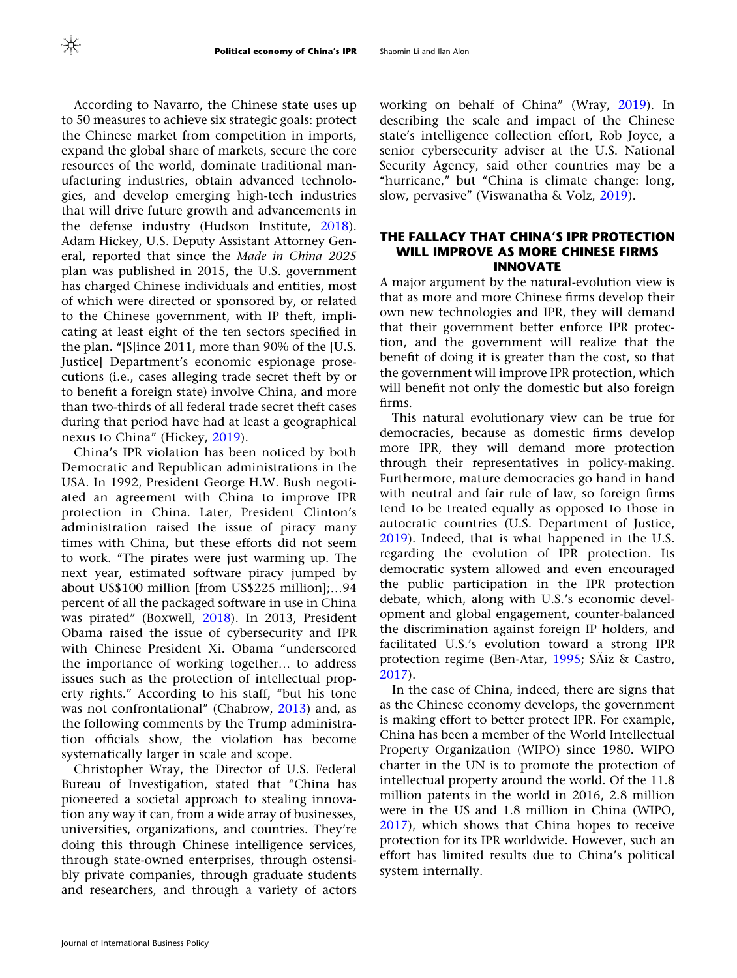According to Navarro, the Chinese state uses up to 50 measures to achieve six strategic goals: protect the Chinese market from competition in imports, expand the global share of markets, secure the core resources of the world, dominate traditional manufacturing industries, obtain advanced technologies, and develop emerging high-tech industries that will drive future growth and advancements in the defense industry (Hudson Institute, [2018\)](#page-10-0). Adam Hickey, U.S. Deputy Assistant Attorney General, reported that since the Made in China 2025 plan was published in 2015, the U.S. government has charged Chinese individuals and entities, most of which were directed or sponsored by, or related to the Chinese government, with IP theft, implicating at least eight of the ten sectors specified in the plan. ''[S]ince 2011, more than 90% of the [U.S. Justice] Department's economic espionage prosecutions (i.e., cases alleging trade secret theft by or to benefit a foreign state) involve China, and more than two-thirds of all federal trade secret theft cases during that period have had at least a geographical nexus to China'' (Hickey, [2019\)](#page-10-0).

China's IPR violation has been noticed by both Democratic and Republican administrations in the USA. In 1992, President George H.W. Bush negotiated an agreement with China to improve IPR protection in China. Later, President Clinton's administration raised the issue of piracy many times with China, but these efforts did not seem to work. ''The pirates were just warming up. The next year, estimated software piracy jumped by about US\$100 million [from US\$225 million];…94 percent of all the packaged software in use in China was pirated'' (Boxwell, [2018\)](#page-10-0). In 2013, President Obama raised the issue of cybersecurity and IPR with Chinese President Xi. Obama ''underscored the importance of working together… to address issues such as the protection of intellectual property rights.'' According to his staff, ''but his tone was not confrontational'' (Chabrow, [2013\)](#page-10-0) and, as the following comments by the Trump administration officials show, the violation has become systematically larger in scale and scope.

Christopher Wray, the Director of U.S. Federal Bureau of Investigation, stated that ''China has pioneered a societal approach to stealing innovation any way it can, from a wide array of businesses, universities, organizations, and countries. They're doing this through Chinese intelligence services, through state-owned enterprises, through ostensibly private companies, through graduate students and researchers, and through a variety of actors

working on behalf of China'' (Wray, [2019\)](#page-11-0). In describing the scale and impact of the Chinese state's intelligence collection effort, Rob Joyce, a senior cybersecurity adviser at the U.S. National Security Agency, said other countries may be a "hurricane," but "China is climate change: long, slow, pervasive'' (Viswanatha & Volz, [2019\)](#page-11-0).

#### THE FALLACY THAT CHINA'S IPR PROTECTION WILL IMPROVE AS MORE CHINESE FIRMS INNOVATE

A major argument by the natural-evolution view is that as more and more Chinese firms develop their own new technologies and IPR, they will demand that their government better enforce IPR protection, and the government will realize that the benefit of doing it is greater than the cost, so that the government will improve IPR protection, which will benefit not only the domestic but also foreign firms.

This natural evolutionary view can be true for democracies, because as domestic firms develop more IPR, they will demand more protection through their representatives in policy-making. Furthermore, mature democracies go hand in hand with neutral and fair rule of law, so foreign firms tend to be treated equally as opposed to those in autocratic countries (U.S. Department of Justice, [2019\)](#page-11-0). Indeed, that is what happened in the U.S. regarding the evolution of IPR protection. Its democratic system allowed and even encouraged the public participation in the IPR protection debate, which, along with U.S.'s economic development and global engagement, counter-balanced the discrimination against foreign IP holders, and facilitated U.S.'s evolution toward a strong IPR protection regime (Ben-Atar,  $1995$ ; SÄiz & Castro, [2017\)](#page-11-0).

In the case of China, indeed, there are signs that as the Chinese economy develops, the government is making effort to better protect IPR. For example, China has been a member of the World Intellectual Property Organization (WIPO) since 1980. WIPO charter in the UN is to promote the protection of intellectual property around the world. Of the 11.8 million patents in the world in 2016, 2.8 million were in the US and 1.8 million in China (WIPO, [2017\)](#page-11-0), which shows that China hopes to receive protection for its IPR worldwide. However, such an effort has limited results due to China's political system internally.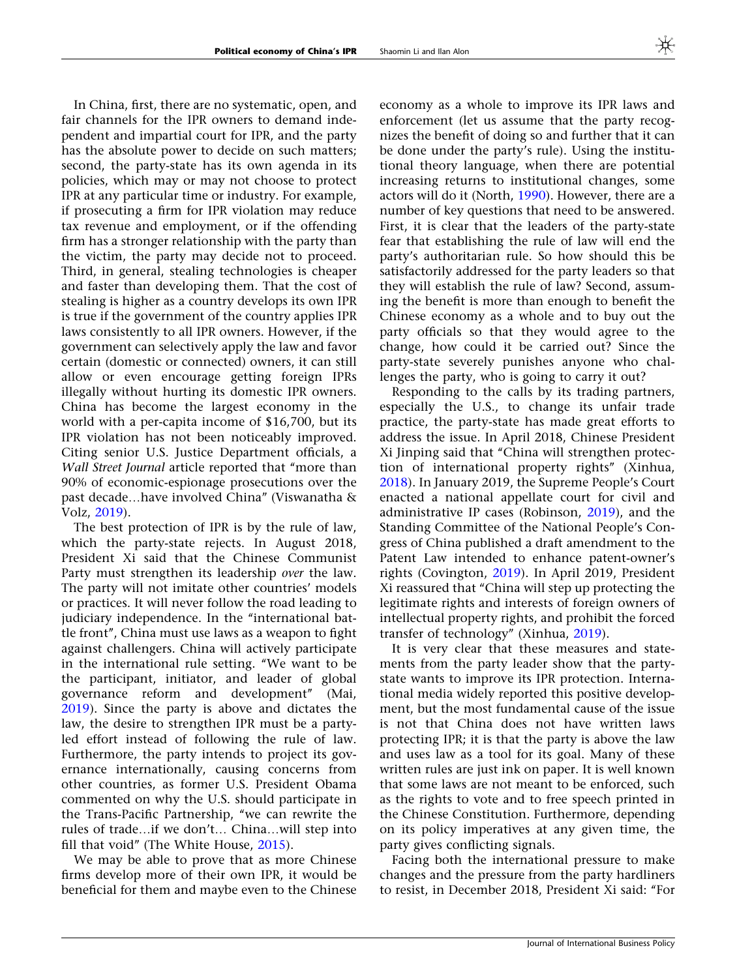In China, first, there are no systematic, open, and fair channels for the IPR owners to demand independent and impartial court for IPR, and the party has the absolute power to decide on such matters; second, the party-state has its own agenda in its policies, which may or may not choose to protect IPR at any particular time or industry. For example, if prosecuting a firm for IPR violation may reduce tax revenue and employment, or if the offending firm has a stronger relationship with the party than the victim, the party may decide not to proceed. Third, in general, stealing technologies is cheaper and faster than developing them. That the cost of stealing is higher as a country develops its own IPR is true if the government of the country applies IPR laws consistently to all IPR owners. However, if the government can selectively apply the law and favor certain (domestic or connected) owners, it can still allow or even encourage getting foreign IPRs illegally without hurting its domestic IPR owners. China has become the largest economy in the world with a per-capita income of \$16,700, but its IPR violation has not been noticeably improved. Citing senior U.S. Justice Department officials, a Wall Street Journal article reported that "more than 90% of economic-espionage prosecutions over the past decade…have involved China'' (Viswanatha & Volz, [2019\)](#page-11-0).

The best protection of IPR is by the rule of law, which the party-state rejects. In August 2018, President Xi said that the Chinese Communist Party must strengthen its leadership over the law. The party will not imitate other countries' models or practices. It will never follow the road leading to judiciary independence. In the ''international battle front'', China must use laws as a weapon to fight against challengers. China will actively participate in the international rule setting. ''We want to be the participant, initiator, and leader of global governance reform and development'' (Mai, [2019\)](#page-10-0). Since the party is above and dictates the law, the desire to strengthen IPR must be a partyled effort instead of following the rule of law. Furthermore, the party intends to project its governance internationally, causing concerns from other countries, as former U.S. President Obama commented on why the U.S. should participate in the Trans-Pacific Partnership, "we can rewrite the rules of trade…if we don't… China…will step into fill that void" (The White House, [2015](#page-11-0)).

We may be able to prove that as more Chinese firms develop more of their own IPR, it would be beneficial for them and maybe even to the Chinese

economy as a whole to improve its IPR laws and enforcement (let us assume that the party recognizes the benefit of doing so and further that it can be done under the party's rule). Using the institutional theory language, when there are potential increasing returns to institutional changes, some actors will do it (North, [1990](#page-10-0)). However, there are a number of key questions that need to be answered. First, it is clear that the leaders of the party-state fear that establishing the rule of law will end the party's authoritarian rule. So how should this be satisfactorily addressed for the party leaders so that they will establish the rule of law? Second, assuming the benefit is more than enough to benefit the Chinese economy as a whole and to buy out the party officials so that they would agree to the change, how could it be carried out? Since the party-state severely punishes anyone who challenges the party, who is going to carry it out?

Responding to the calls by its trading partners, especially the U.S., to change its unfair trade practice, the party-state has made great efforts to address the issue. In April 2018, Chinese President Xi Jinping said that ''China will strengthen protection of international property rights'' (Xinhua, [2018\)](#page-11-0). In January 2019, the Supreme People's Court enacted a national appellate court for civil and administrative IP cases (Robinson, [2019\)](#page-11-0), and the Standing Committee of the National People's Congress of China published a draft amendment to the Patent Law intended to enhance patent-owner's rights (Covington, [2019](#page-10-0)). In April 2019, President Xi reassured that ''China will step up protecting the legitimate rights and interests of foreign owners of intellectual property rights, and prohibit the forced transfer of technology'' (Xinhua, [2019](#page-12-0)).

It is very clear that these measures and statements from the party leader show that the partystate wants to improve its IPR protection. International media widely reported this positive development, but the most fundamental cause of the issue is not that China does not have written laws protecting IPR; it is that the party is above the law and uses law as a tool for its goal. Many of these written rules are just ink on paper. It is well known that some laws are not meant to be enforced, such as the rights to vote and to free speech printed in the Chinese Constitution. Furthermore, depending on its policy imperatives at any given time, the party gives conflicting signals.

Facing both the international pressure to make changes and the pressure from the party hardliners to resist, in December 2018, President Xi said: ''For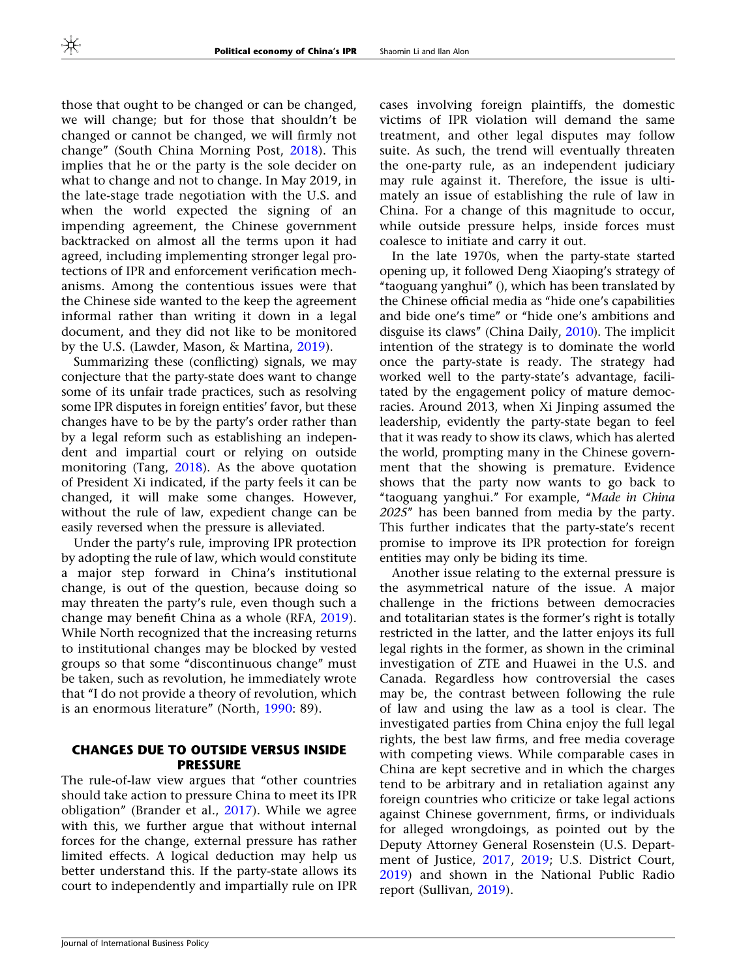those that ought to be changed or can be changed, we will change; but for those that shouldn't be changed or cannot be changed, we will firmly not change'' (South China Morning Post, [2018](#page-11-0)). This implies that he or the party is the sole decider on what to change and not to change. In May 2019, in the late-stage trade negotiation with the U.S. and when the world expected the signing of an impending agreement, the Chinese government backtracked on almost all the terms upon it had agreed, including implementing stronger legal protections of IPR and enforcement verification mechanisms. Among the contentious issues were that the Chinese side wanted to the keep the agreement informal rather than writing it down in a legal document, and they did not like to be monitored by the U.S. (Lawder, Mason, & Martina, [2019](#page-10-0)).

Summarizing these (conflicting) signals, we may conjecture that the party-state does want to change some of its unfair trade practices, such as resolving some IPR disputes in foreign entities' favor, but these changes have to be by the party's order rather than by a legal reform such as establishing an independent and impartial court or relying on outside monitoring (Tang, [2018\)](#page-11-0). As the above quotation of President Xi indicated, if the party feels it can be changed, it will make some changes. However, without the rule of law, expedient change can be easily reversed when the pressure is alleviated.

Under the party's rule, improving IPR protection by adopting the rule of law, which would constitute a major step forward in China's institutional change, is out of the question, because doing so may threaten the party's rule, even though such a change may benefit China as a whole (RFA, [2019\)](#page-11-0). While North recognized that the increasing returns to institutional changes may be blocked by vested groups so that some ''discontinuous change'' must be taken, such as revolution, he immediately wrote that ''I do not provide a theory of revolution, which is an enormous literature'' (North, [1990](#page-10-0): 89).

#### CHANGES DUE TO OUTSIDE VERSUS INSIDE PRESSURE

The rule-of-law view argues that ''other countries should take action to pressure China to meet its IPR obligation'' (Brander et al., [2017](#page-10-0)). While we agree with this, we further argue that without internal forces for the change, external pressure has rather limited effects. A logical deduction may help us better understand this. If the party-state allows its court to independently and impartially rule on IPR

cases involving foreign plaintiffs, the domestic victims of IPR violation will demand the same treatment, and other legal disputes may follow suite. As such, the trend will eventually threaten the one-party rule, as an independent judiciary may rule against it. Therefore, the issue is ultimately an issue of establishing the rule of law in China. For a change of this magnitude to occur, while outside pressure helps, inside forces must coalesce to initiate and carry it out.

In the late 1970s, when the party-state started opening up, it followed Deng Xiaoping's strategy of ''taoguang yanghui'' (), which has been translated by the Chinese official media as ''hide one's capabilities and bide one's time'' or ''hide one's ambitions and disguise its claws'' (China Daily, [2010\)](#page-10-0). The implicit intention of the strategy is to dominate the world once the party-state is ready. The strategy had worked well to the party-state's advantage, facilitated by the engagement policy of mature democracies. Around 2013, when Xi Jinping assumed the leadership, evidently the party-state began to feel that it was ready to show its claws, which has alerted the world, prompting many in the Chinese government that the showing is premature. Evidence shows that the party now wants to go back to "taoguang yanghui." For example, "Made in China 2025'' has been banned from media by the party. This further indicates that the party-state's recent promise to improve its IPR protection for foreign entities may only be biding its time.

Another issue relating to the external pressure is the asymmetrical nature of the issue. A major challenge in the frictions between democracies and totalitarian states is the former's right is totally restricted in the latter, and the latter enjoys its full legal rights in the former, as shown in the criminal investigation of ZTE and Huawei in the U.S. and Canada. Regardless how controversial the cases may be, the contrast between following the rule of law and using the law as a tool is clear. The investigated parties from China enjoy the full legal rights, the best law firms, and free media coverage with competing views. While comparable cases in China are kept secretive and in which the charges tend to be arbitrary and in retaliation against any foreign countries who criticize or take legal actions against Chinese government, firms, or individuals for alleged wrongdoings, as pointed out by the Deputy Attorney General Rosenstein (U.S. Department of Justice, [2017](#page-11-0), [2019](#page-11-0); U.S. District Court, [2019\)](#page-11-0) and shown in the National Public Radio report (Sullivan, [2019\)](#page-11-0).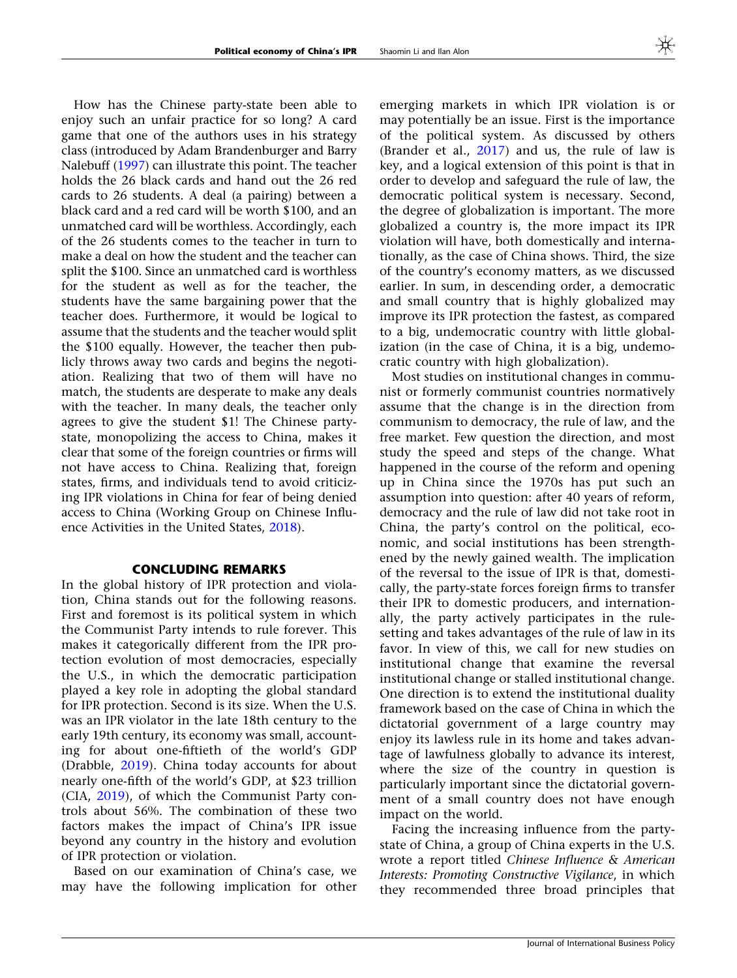How has the Chinese party-state been able to enjoy such an unfair practice for so long? A card game that one of the authors uses in his strategy class (introduced by Adam Brandenburger and Barry Nalebuff ([1997](#page-10-0)) can illustrate this point. The teacher holds the 26 black cards and hand out the 26 red cards to 26 students. A deal (a pairing) between a black card and a red card will be worth \$100, and an unmatched card will be worthless. Accordingly, each of the 26 students comes to the teacher in turn to make a deal on how the student and the teacher can split the \$100. Since an unmatched card is worthless for the student as well as for the teacher, the students have the same bargaining power that the teacher does. Furthermore, it would be logical to assume that the students and the teacher would split the \$100 equally. However, the teacher then publicly throws away two cards and begins the negotiation. Realizing that two of them will have no match, the students are desperate to make any deals with the teacher. In many deals, the teacher only agrees to give the student \$1! The Chinese partystate, monopolizing the access to China, makes it clear that some of the foreign countries or firms will not have access to China. Realizing that, foreign states, firms, and individuals tend to avoid criticizing IPR violations in China for fear of being denied access to China (Working Group on Chinese Influence Activities in the United States, [2018](#page-11-0)).

#### CONCLUDING REMARKS

In the global history of IPR protection and violation, China stands out for the following reasons. First and foremost is its political system in which the Communist Party intends to rule forever. This makes it categorically different from the IPR protection evolution of most democracies, especially the U.S., in which the democratic participation played a key role in adopting the global standard for IPR protection. Second is its size. When the U.S. was an IPR violator in the late 18th century to the early 19th century, its economy was small, accounting for about one-fiftieth of the world's GDP (Drabble, [2019](#page-10-0)). China today accounts for about nearly one-fifth of the world's GDP, at \$23 trillion (CIA, [2019](#page-10-0)), of which the Communist Party controls about 56%. The combination of these two factors makes the impact of China's IPR issue beyond any country in the history and evolution of IPR protection or violation.

Based on our examination of China's case, we may have the following implication for other emerging markets in which IPR violation is or may potentially be an issue. First is the importance of the political system. As discussed by others (Brander et al., [2017](#page-10-0)) and us, the rule of law is key, and a logical extension of this point is that in order to develop and safeguard the rule of law, the democratic political system is necessary. Second, the degree of globalization is important. The more globalized a country is, the more impact its IPR violation will have, both domestically and internationally, as the case of China shows. Third, the size of the country's economy matters, as we discussed earlier. In sum, in descending order, a democratic and small country that is highly globalized may improve its IPR protection the fastest, as compared to a big, undemocratic country with little globalization (in the case of China, it is a big, undemocratic country with high globalization).

Most studies on institutional changes in communist or formerly communist countries normatively assume that the change is in the direction from communism to democracy, the rule of law, and the free market. Few question the direction, and most study the speed and steps of the change. What happened in the course of the reform and opening up in China since the 1970s has put such an assumption into question: after 40 years of reform, democracy and the rule of law did not take root in China, the party's control on the political, economic, and social institutions has been strengthened by the newly gained wealth. The implication of the reversal to the issue of IPR is that, domestically, the party-state forces foreign firms to transfer their IPR to domestic producers, and internationally, the party actively participates in the rulesetting and takes advantages of the rule of law in its favor. In view of this, we call for new studies on institutional change that examine the reversal institutional change or stalled institutional change. One direction is to extend the institutional duality framework based on the case of China in which the dictatorial government of a large country may enjoy its lawless rule in its home and takes advantage of lawfulness globally to advance its interest, where the size of the country in question is particularly important since the dictatorial government of a small country does not have enough impact on the world.

Facing the increasing influence from the partystate of China, a group of China experts in the U.S. wrote a report titled Chinese Influence & American Interests: Promoting Constructive Vigilance, in which they recommended three broad principles that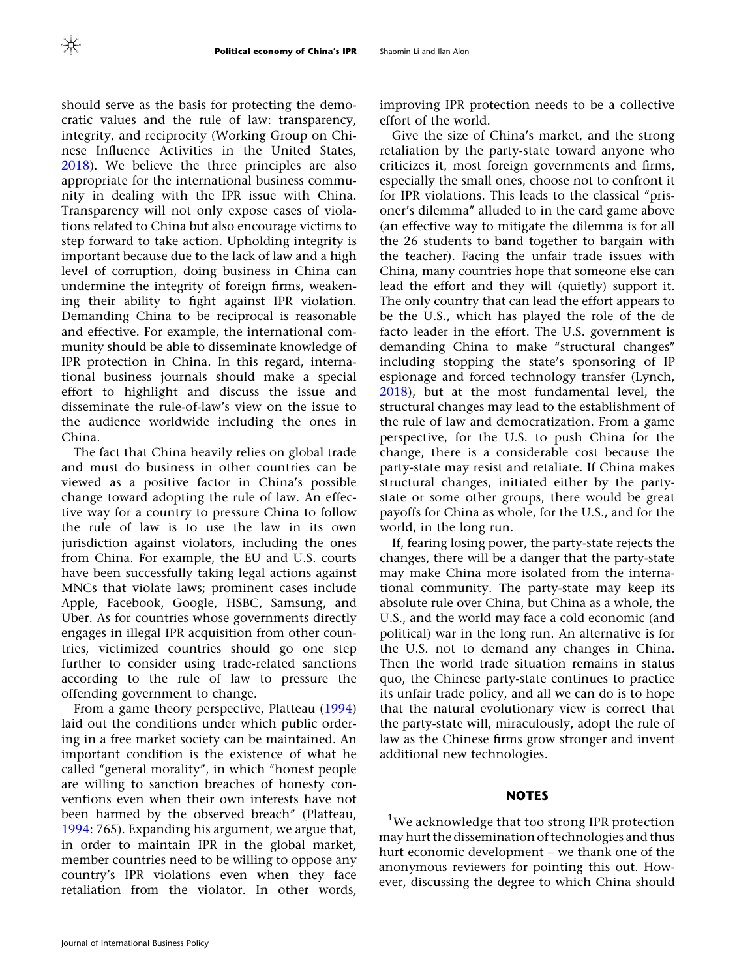should serve as the basis for protecting the democratic values and the rule of law: transparency, integrity, and reciprocity (Working Group on Chinese Influence Activities in the United States, [2018\)](#page-11-0). We believe the three principles are also appropriate for the international business community in dealing with the IPR issue with China. Transparency will not only expose cases of violations related to China but also encourage victims to step forward to take action. Upholding integrity is important because due to the lack of law and a high level of corruption, doing business in China can undermine the integrity of foreign firms, weakening their ability to fight against IPR violation. Demanding China to be reciprocal is reasonable and effective. For example, the international community should be able to disseminate knowledge of IPR protection in China. In this regard, international business journals should make a special effort to highlight and discuss the issue and disseminate the rule-of-law's view on the issue to the audience worldwide including the ones in China.

The fact that China heavily relies on global trade and must do business in other countries can be viewed as a positive factor in China's possible change toward adopting the rule of law. An effective way for a country to pressure China to follow the rule of law is to use the law in its own jurisdiction against violators, including the ones from China. For example, the EU and U.S. courts have been successfully taking legal actions against MNCs that violate laws; prominent cases include Apple, Facebook, Google, HSBC, Samsung, and Uber. As for countries whose governments directly engages in illegal IPR acquisition from other countries, victimized countries should go one step further to consider using trade-related sanctions according to the rule of law to pressure the offending government to change.

From a game theory perspective, Platteau ([1994\)](#page-11-0) laid out the conditions under which public ordering in a free market society can be maintained. An important condition is the existence of what he called ''general morality'', in which ''honest people are willing to sanction breaches of honesty conventions even when their own interests have not been harmed by the observed breach'' (Platteau, [1994:](#page-11-0) 765). Expanding his argument, we argue that, in order to maintain IPR in the global market, member countries need to be willing to oppose any country's IPR violations even when they face retaliation from the violator. In other words,

improving IPR protection needs to be a collective effort of the world.

Give the size of China's market, and the strong retaliation by the party-state toward anyone who criticizes it, most foreign governments and firms, especially the small ones, choose not to confront it for IPR violations. This leads to the classical ''prisoner's dilemma'' alluded to in the card game above (an effective way to mitigate the dilemma is for all the 26 students to band together to bargain with the teacher). Facing the unfair trade issues with China, many countries hope that someone else can lead the effort and they will (quietly) support it. The only country that can lead the effort appears to be the U.S., which has played the role of the de facto leader in the effort. The U.S. government is demanding China to make "structural changes" including stopping the state's sponsoring of IP espionage and forced technology transfer (Lynch, [2018\)](#page-10-0), but at the most fundamental level, the structural changes may lead to the establishment of the rule of law and democratization. From a game perspective, for the U.S. to push China for the change, there is a considerable cost because the party-state may resist and retaliate. If China makes structural changes, initiated either by the partystate or some other groups, there would be great payoffs for China as whole, for the U.S., and for the world, in the long run.

If, fearing losing power, the party-state rejects the changes, there will be a danger that the party-state may make China more isolated from the international community. The party-state may keep its absolute rule over China, but China as a whole, the U.S., and the world may face a cold economic (and political) war in the long run. An alternative is for the U.S. not to demand any changes in China. Then the world trade situation remains in status quo, the Chinese party-state continues to practice its unfair trade policy, and all we can do is to hope that the natural evolutionary view is correct that the party-state will, miraculously, adopt the rule of law as the Chinese firms grow stronger and invent additional new technologies.

#### **NOTES**

<sup>1</sup>We acknowledge that too strong IPR protection may hurt the dissemination of technologies and thus hurt economic development – we thank one of the anonymous reviewers for pointing this out. However, discussing the degree to which China should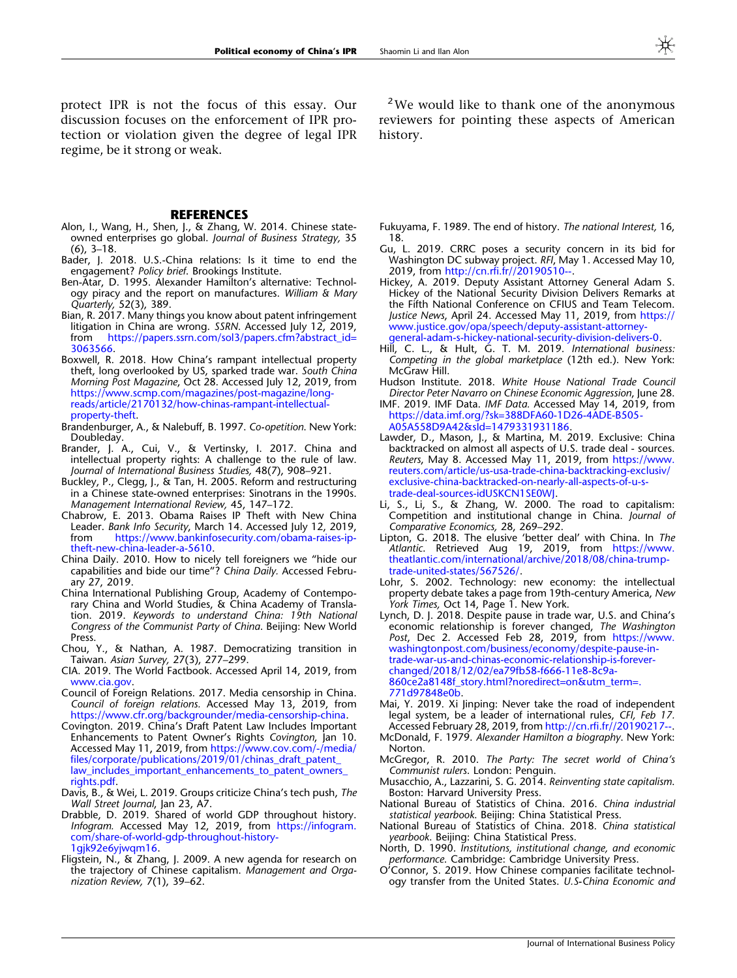#### **REFERENCES**

- <span id="page-10-0"></span>Alon, I., Wang, H., Shen, J., & Zhang, W. 2014. Chinese stateowned enterprises go global. Journal of Business Strategy, 35 (6), 3–18.
- Bader, J. 2018. U.S.-China relations: Is it time to end the engagement? Policy brief. Brookings Institute.
- Ben-Atar, D. 1995. Alexander Hamilton's alternative: Technology piracy and the report on manufactures. William & Mary Quarterly, 52(3), 389.
- Bian, R. 2017. Many things you know about patent infringement litigation in China are wrong. SSRN. Accessed July 12, 2019, from [https://papers.ssrn.com/sol3/papers.cfm?abstract\\_id=](https://papers.ssrn.com/sol3/papers.cfm%3fabstract_id%3d3063566) [3063566](https://papers.ssrn.com/sol3/papers.cfm%3fabstract_id%3d3063566).
- Boxwell, R. 2018. How China's rampant intellectual property theft, long overlooked by US, sparked trade war. South China Morning Post Magazine, Oct 28. Accessed July 12, 2019, from [https://www.scmp.com/magazines/post-magazine/long](https://www.scmp.com/magazines/post-magazine/long-reads/article/2170132/how-chinas-rampant-intellectual-property-theft)[reads/article/2170132/how-chinas-rampant-intellectual](https://www.scmp.com/magazines/post-magazine/long-reads/article/2170132/how-chinas-rampant-intellectual-property-theft)[property-theft.](https://www.scmp.com/magazines/post-magazine/long-reads/article/2170132/how-chinas-rampant-intellectual-property-theft)
- Brandenburger, A., & Nalebuff, B. 1997. Co-opetition. New York: Doubleday.
- Brander, J. A., Cui, V., & Vertinsky, I. 2017. China and intellectual property rights: A challenge to the rule of law. Journal of International Business Studies, 48(7), 908–921.
- Buckley, P., Clegg, J., & Tan, H. 2005. Reform and restructuring in a Chinese state-owned enterprises: Sinotrans in the 1990s. Management International Review, 45, 147–172.
- Chabrow, E. 2013. Obama Raises IP Theft with New China Leader. Bank Info Security, March 14. Accessed July 12, 2019,<br>from https://www.bankinfosecurity.com/obama-raises-in[https://www.bankinfosecurity.com/obama-raises-ip](https://www.bankinfosecurity.com/obama-raises-ip-theft-new-china-leader-a-5610)[theft-new-china-leader-a-5610](https://www.bankinfosecurity.com/obama-raises-ip-theft-new-china-leader-a-5610).
- China Daily. 2010. How to nicely tell foreigners we "hide our capabilities and bide our time"? China Daily. Accessed February 27, 2019.
- China International Publishing Group, Academy of Contemporary China and World Studies, & China Academy of Translation. 2019. Keywords to understand China: 19th National Congress of the Communist Party of China. Beijing: New World Press.
- Chou, Y., & Nathan, A. 1987. Democratizing transition in Taiwan. Asian Survey, 27(3), 277–299.
- CIA. 2019. The World Factbook. Accessed April 14, 2019, from [www.cia.gov](http://www.cia.gov).
- Council of Foreign Relations. 2017. Media censorship in China. Council of foreign relations. Accessed May 13, 2019, from [https://www.cfr.org/backgrounder/media-censorship-china.](https://www.cfr.org/backgrounder/media-censorship-china)
- Covington. 2019. China's Draft Patent Law Includes Important **Enhancements to Patent Owner's Rights Covington, Jan 10.** Accessed May 11, 2019, from [https://www.cov.com/-/media/](https://www.cov.com/-/media/files/corporate/publications/2019/01/chinas_draft_patent_law_includes_important_enhancements_to_patent_owners_rights.pdf) [files/corporate/publications/2019/01/chinas\\_draft\\_patent\\_](https://www.cov.com/-/media/files/corporate/publications/2019/01/chinas_draft_patent_law_includes_important_enhancements_to_patent_owners_rights.pdf) [law\\_includes\\_important\\_enhancements\\_to\\_patent\\_owners\\_](https://www.cov.com/-/media/files/corporate/publications/2019/01/chinas_draft_patent_law_includes_important_enhancements_to_patent_owners_rights.pdf) [rights.pdf](https://www.cov.com/-/media/files/corporate/publications/2019/01/chinas_draft_patent_law_includes_important_enhancements_to_patent_owners_rights.pdf).
- Davis, B., & Wei, L. 2019. Groups criticize China's tech push, The Wall Street Journal, Jan 23, A7.
- Drabble, D. 2019. Shared of world GDP throughout history. Infogram. Accessed May 12, 2019, from [https://infogram.](https://infogram.com/share-of-world-gdp-throughout-history-1gjk92e6yjwqm16) [com/share-of-world-gdp-throughout-history-](https://infogram.com/share-of-world-gdp-throughout-history-1gjk92e6yjwqm16)[1gjk92e6yjwqm16](https://infogram.com/share-of-world-gdp-throughout-history-1gjk92e6yjwqm16).
- Fligstein, N., & Zhang, J. 2009. A new agenda for research on the trajectory of Chinese capitalism. Management and Organization Review, 7(1), 39–62.

<sup>2</sup>We would like to thank one of the anonymous reviewers for pointing these aspects of American history.

- Fukuyama, F. 1989. The end of history. The national Interest, 16, 18.
- Gu, L. 2019. CRRC poses a security concern in its bid for Washington DC subway project. RFI, May 1. Accessed May 10, 2019, from [http://cn.rfi.fr//20190510--](http://cn.rfi.fr/%e4%b8%ad%e5%9b%bd/20190510-%e4%b8%ad%e8%bd%a6%e5%8a%9b%e4%ba%89%e5%8d%8e%e7%9b%9b%e9%a1%bf%e5%9c%b0%e9%93%81%e9%a1%b9%e7%9b%ae%e9%81%87%e9%98%bb-%e8%a2%ab%e7%96%91%e5%a8%81%e8%83%81%e5%ae%89%e5%85%a8).
- Hickey, A. 2019. Deputy Assistant Attorney General Adam S. Hickey of the National Security Division Delivers Remarks at the Fifth National Conference on CFIUS and Team Telecom. Justice News, April 24. Accessed May 11, 2019, from [https://](https://www.justice.gov/opa/speech/deputy-assistant-attorney-general-adam-s-hickey-national-security-division-delivers-0) [www.justice.gov/opa/speech/deputy-assistant-attorney](https://www.justice.gov/opa/speech/deputy-assistant-attorney-general-adam-s-hickey-national-security-division-delivers-0)[general-adam-s-hickey-national-security-division-delivers-0.](https://www.justice.gov/opa/speech/deputy-assistant-attorney-general-adam-s-hickey-national-security-division-delivers-0)
- Hill, C. L., & Hult, G. T. M. 2019. International business: Competing in the global marketplace (12th ed.). New York: McGraw Hill.
- Hudson Institute. 2018. White House National Trade Council Director Peter Navarro on Chinese Economic Aggression, June 28.
- IMF. 2019. IMF Data. IMF Data. Accessed May 14, 2019, from [https://data.imf.org/?sk=388DFA60-1D26-4ADE-B505-](https://data.imf.org/%3fsk%3d388DFA60-1D26-4ADE-B505-A05A558D9A42%26sId%3d1479331931186) [A05A558D9A42&sId=1479331931186](https://data.imf.org/%3fsk%3d388DFA60-1D26-4ADE-B505-A05A558D9A42%26sId%3d1479331931186).
- Lawder, D., Mason, J., & Martina, M. 2019. Exclusive: China backtracked on almost all aspects of U.S. trade deal - sources. Reuters, May 8. Accessed May 11, 2019, from [https://www.](https://www.reuters.com/article/us-usa-trade-china-backtracking-exclusiv/exclusive-china-backtracked-on-nearly-all-aspects-of-u-s-trade-deal-sources-idUSKCN1SE0WJ) [reuters.com/article/us-usa-trade-china-backtracking-exclusiv/](https://www.reuters.com/article/us-usa-trade-china-backtracking-exclusiv/exclusive-china-backtracked-on-nearly-all-aspects-of-u-s-trade-deal-sources-idUSKCN1SE0WJ) [exclusive-china-backtracked-on-nearly-all-aspects-of-u-s](https://www.reuters.com/article/us-usa-trade-china-backtracking-exclusiv/exclusive-china-backtracked-on-nearly-all-aspects-of-u-s-trade-deal-sources-idUSKCN1SE0WJ)[trade-deal-sources-idUSKCN1SE0WJ.](https://www.reuters.com/article/us-usa-trade-china-backtracking-exclusiv/exclusive-china-backtracked-on-nearly-all-aspects-of-u-s-trade-deal-sources-idUSKCN1SE0WJ)
- Li, S., Li, S., & Zhang, W. 2000. The road to capitalism: Competition and institutional change in China. Journal of Comparative Economics, 28, 269–292.
- Lipton, G. 2018. The elusive 'better deal' with China. In The Atlantic. Retrieved Aug 19, 2019, from [https://www.](https://www.theatlantic.com/international/archive/2018/08/china-trump-trade-united-states/567526/) [theatlantic.com/international/archive/2018/08/china-trump](https://www.theatlantic.com/international/archive/2018/08/china-trump-trade-united-states/567526/)[trade-united-states/567526/](https://www.theatlantic.com/international/archive/2018/08/china-trump-trade-united-states/567526/).
- Lohr, S. 2002. Technology: new economy: the intellectual property debate takes a page from 19th-century America, New York Times, Oct 14, Page 1. New York.
- Lynch, D. J. 2018. Despite pause in trade war, U.S. and China's economic relationship is forever changed, The Washington Post, Dec 2. Accessed Feb 28, 2019, from [https://www.](https://www.washingtonpost.com/business/economy/despite-pause-in-trade-war-us-and-chinas-economic-relationship-is-forever-changed/2018/12/02/ea79fb58-f666-11e8-8c9a-860ce2a8148f_story.html%3fnoredirect%3don%26utm_term%3d.771d97848e0b) [washingtonpost.com/business/economy/despite-pause-in](https://www.washingtonpost.com/business/economy/despite-pause-in-trade-war-us-and-chinas-economic-relationship-is-forever-changed/2018/12/02/ea79fb58-f666-11e8-8c9a-860ce2a8148f_story.html%3fnoredirect%3don%26utm_term%3d.771d97848e0b)[trade-war-us-and-chinas-economic-relationship-is-forever](https://www.washingtonpost.com/business/economy/despite-pause-in-trade-war-us-and-chinas-economic-relationship-is-forever-changed/2018/12/02/ea79fb58-f666-11e8-8c9a-860ce2a8148f_story.html%3fnoredirect%3don%26utm_term%3d.771d97848e0b)[changed/2018/12/02/ea79fb58-f666-11e8-8c9a-](https://www.washingtonpost.com/business/economy/despite-pause-in-trade-war-us-and-chinas-economic-relationship-is-forever-changed/2018/12/02/ea79fb58-f666-11e8-8c9a-860ce2a8148f_story.html%3fnoredirect%3don%26utm_term%3d.771d97848e0b)[860ce2a8148f\\_story.html?noredirect=on&utm\\_term=.](https://www.washingtonpost.com/business/economy/despite-pause-in-trade-war-us-and-chinas-economic-relationship-is-forever-changed/2018/12/02/ea79fb58-f666-11e8-8c9a-860ce2a8148f_story.html%3fnoredirect%3don%26utm_term%3d.771d97848e0b) [771d97848e0b](https://www.washingtonpost.com/business/economy/despite-pause-in-trade-war-us-and-chinas-economic-relationship-is-forever-changed/2018/12/02/ea79fb58-f666-11e8-8c9a-860ce2a8148f_story.html%3fnoredirect%3don%26utm_term%3d.771d97848e0b).
- Mai, Y. 2019. Xi Jinping: Never take the road of independent legal system, be a leader of international rules, CFI, Feb 17. Accessed February 28, 2019, from [http://cn.rfi.fr//20190217--](http://cn.rfi.fr/%e4%b8%ad%e5%9b%bd/20190217-%e4%b9%a0%e8%bf%91%e5%b9%b3%e5%86%b3%e4%b8%8d%e8%b5%b0%e5%8f%b8%e6%b3%95%e7%8b%ac%e7%ab%8b%e7%9a%84%e8%b7%af-%e8%a6%81%e5%bd%93%e5%9b%bd%e9%99%85%e8%a7%84%e5%88%99%e5%bc%95%e9%a2%86%e8%80%85)
- McDonald, F. 1979. Alexander Hamilton a biography. New York: Norton.
- McGregor, R. 2010. The Party: The secret world of China's Communist rulers. London: Penguin.
- Musacchio, A., Lazzarini, S. G. 2014. Reinventing state capitalism. Boston: Harvard University Press.
- National Bureau of Statistics of China. 2016. China industrial statistical yearbook. Beijing: China Statistical Press.
- National Bureau of Statistics of China. 2018. China statistical yearbook. Beijing: China Statistical Press.
- North, D. 1990. Institutions, institutional change, and economic performance. Cambridge: Cambridge University Press.
- O'Connor, S. 2019. How Chinese companies facilitate technology transfer from the United States. U.S-China Economic and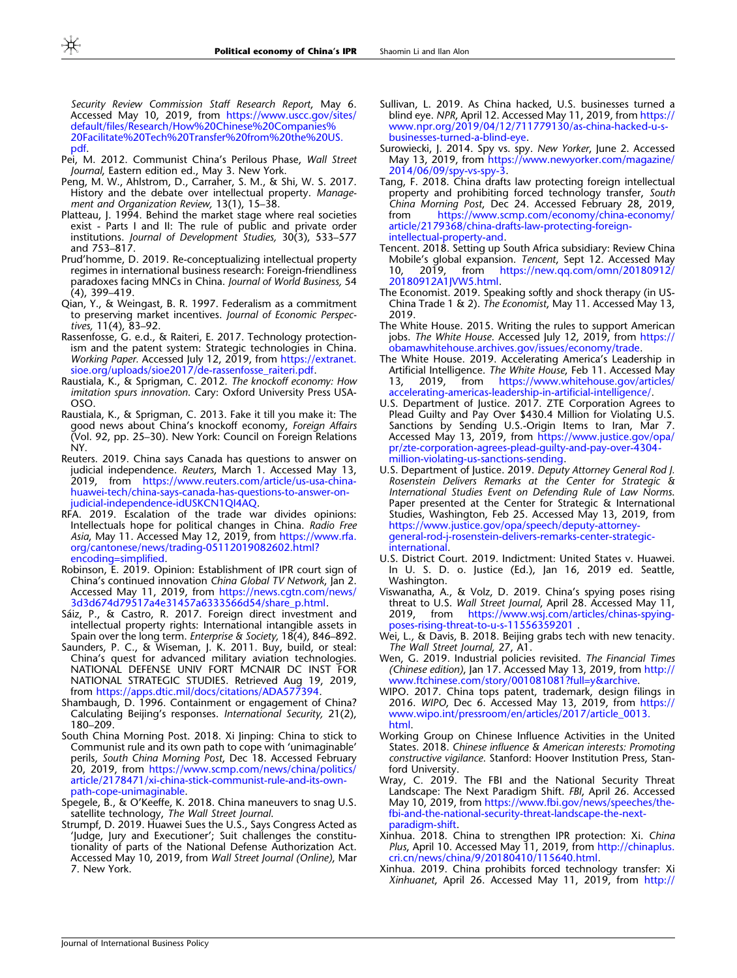<span id="page-11-0"></span>Security Review Commission Staff Research Report, May 6. Accessed May 10, 2019, from [https://www.uscc.gov/sites/](https://www.uscc.gov/sites/default/files/Research/How%20Chinese%20Companies%20Facilitate%20Tech%20Transfer%20from%20the%20US.pdf) [default/files/Research/How%20Chinese%20Companies%](https://www.uscc.gov/sites/default/files/Research/How%20Chinese%20Companies%20Facilitate%20Tech%20Transfer%20from%20the%20US.pdf) [20Facilitate%20Tech%20Transfer%20from%20the%20US.](https://www.uscc.gov/sites/default/files/Research/How%20Chinese%20Companies%20Facilitate%20Tech%20Transfer%20from%20the%20US.pdf) [pdf.](https://www.uscc.gov/sites/default/files/Research/How%20Chinese%20Companies%20Facilitate%20Tech%20Transfer%20from%20the%20US.pdf)

- Pei, M. 2012. Communist China's Perilous Phase, Wall Street Journal, Eastern edition ed., May 3. New York.
- Peng, M. W., Ahlstrom, D., Carraher, S. M., & Shi, W. S. 2017. History and the debate over intellectual property. Management and Organization Review, 13(1), 15–38.
- Platteau, J. 1994. Behind the market stage where real societies exist - Parts I and II: The rule of public and private order institutions. Journal of Development Studies, 30(3), 533–577 and 753–817.
- Prud'homme, D. 2019. Re-conceptualizing intellectual property regimes in international business research: Foreign-friendliness paradoxes facing MNCs in China. Journal of World Business, 54 (4), 399–419.
- Qian, Y., & Weingast, B. R. 1997. Federalism as a commitment to preserving market incentives. Journal of Economic Perspectives, 11(4), 83–92.
- Rassenfosse, G. e.d., & Raiteri, E. 2017. Technology protectionism and the patent system: Strategic technologies in China. Working Paper. Accessed July 12, 2019, from [https://extranet.](https://extranet.sioe.org/uploads/sioe2017/de-rassenfosse_raiteri.pdf) [sioe.org/uploads/sioe2017/de-rassenfosse\\_raiteri.pdf.](https://extranet.sioe.org/uploads/sioe2017/de-rassenfosse_raiteri.pdf)
- Raustiala, K., & Sprigman, C. 2012. The knockoff economy: How imitation spurs innovation. Cary: Oxford University Press USA-OSO.
- Raustiala, K., & Sprigman, C. 2013. Fake it till you make it: The good news about China's knockoff economy, Foreign Affairs (Vol. 92, pp. 25–30). New York: Council on Foreign Relations NY.
- Reuters. 2019. China says Canada has questions to answer on judicial independence. Reuters, March 1. Accessed May 13, 2019, from [https://www.reuters.com/article/us-usa-china](https://www.reuters.com/article/us-usa-china-huawei-tech/china-says-canada-has-questions-to-answer-on-judicial-independence-idUSKCN1QI4AQ)[huawei-tech/china-says-canada-has-questions-to-answer-on](https://www.reuters.com/article/us-usa-china-huawei-tech/china-says-canada-has-questions-to-answer-on-judicial-independence-idUSKCN1QI4AQ)[judicial-independence-idUSKCN1QI4AQ.](https://www.reuters.com/article/us-usa-china-huawei-tech/china-says-canada-has-questions-to-answer-on-judicial-independence-idUSKCN1QI4AQ)
- RFA. 2019. Escalation of the trade war divides opinions: Intellectuals hope for political changes in China. Radio Free Asia, May 11. Accessed May 12, 2019, from [https://www.rfa.](https://www.rfa.org/cantonese/news/trading-05112019082602.html%3fencoding%3dsimplified) [org/cantonese/news/trading-05112019082602.html?](https://www.rfa.org/cantonese/news/trading-05112019082602.html%3fencoding%3dsimplified) [encoding=simplified](https://www.rfa.org/cantonese/news/trading-05112019082602.html%3fencoding%3dsimplified).
- Robinson, E. 2019. Opinion: Establishment of IPR court sign of China's continued innovation China Global TV Network, Jan 2. Accessed May 11, 2019, from [https://news.cgtn.com/news/](https://news.cgtn.com/news/3d3d674d79517a4e31457a6333566d54/share_p.html) [3d3d674d79517a4e31457a6333566d54/share\\_p.html.](https://news.cgtn.com/news/3d3d674d79517a4e31457a6333566d54/share_p.html)
- Sáiz, P., & Castro, R. 2017. Foreign direct investment and intellectual property rights: International intangible assets in Spain over the long term. Enterprise & Society, 18(4), 846–892.
- Saunders, P. C., & Wiseman, J. K. 2011. Buy, build, or steal: China's quest for advanced military aviation technologies. NATIONAL DEFENSE UNIV FORT MCNAIR DC INST FOR NATIONAL STRATEGIC STUDIES. Retrieved Aug 19, 2019, from <https://apps.dtic.mil/docs/citations/ADA577394>.
- Shambaugh, D. 1996. Containment or engagement of China? Calculating Beijing's responses. International Security, 21(2), 180–209.
- South China Morning Post. 2018. Xi Jinping: China to stick to Communist rule and its own path to cope with 'unimaginable' perils, South China Morning Post, Dec 18. Accessed February 20, 2019, from [https://www.scmp.com/news/china/politics/](https://www.scmp.com/news/china/politics/article/2178471/xi-china-stick-communist-rule-and-its-own-path-cope-unimaginable) [article/2178471/xi-china-stick-communist-rule-and-its-own](https://www.scmp.com/news/china/politics/article/2178471/xi-china-stick-communist-rule-and-its-own-path-cope-unimaginable)[path-cope-unimaginable](https://www.scmp.com/news/china/politics/article/2178471/xi-china-stick-communist-rule-and-its-own-path-cope-unimaginable).
- Spegele, B., & O'Keeffe, K. 2018. China maneuvers to snag U.S. satellite technology, The Wall Street Journal.
- Strumpf, D. 2019. Huawei Sues the U.S., Says Congress Acted as 'Judge, Jury and Executioner'; Suit challenges the constitutionality of parts of the National Defense Authorization Act. Accessed May 10, 2019, from Wall Street Journal (Online), Mar 7. New York.
- Sullivan, L. 2019. As China hacked, U.S. businesses turned a blind eye. NPR, April 12. Accessed May 11, 2019, from [https://](https://www.npr.org/2019/04/12/711779130/as-china-hacked-u-s-businesses-turned-a-blind-eye) [www.npr.org/2019/04/12/711779130/as-china-hacked-u-s](https://www.npr.org/2019/04/12/711779130/as-china-hacked-u-s-businesses-turned-a-blind-eye)[businesses-turned-a-blind-eye](https://www.npr.org/2019/04/12/711779130/as-china-hacked-u-s-businesses-turned-a-blind-eye).
- Surowiecki, J. 2014. Spy vs. spy. New Yorker, June 2. Accessed May 13, 2019, from [https://www.newyorker.com/magazine/](https://www.newyorker.com/magazine/2014/06/09/spy-vs-spy-3) [2014/06/09/spy-vs-spy-3.](https://www.newyorker.com/magazine/2014/06/09/spy-vs-spy-3)
- Tang, F. 2018. China drafts law protecting foreign intellectual property and prohibiting forced technology transfer, South China Morning Post, Dec 24. Accessed February 28, 2019,<br>from https://www.scmp.com/economy/china-economy/ [https://www.scmp.com/economy/china-economy/](https://www.scmp.com/economy/china-economy/article/2179368/china-drafts-law-protecting-foreign-intellectual-property-and) [article/2179368/china-drafts-law-protecting-foreign](https://www.scmp.com/economy/china-economy/article/2179368/china-drafts-law-protecting-foreign-intellectual-property-and)[intellectual-property-and](https://www.scmp.com/economy/china-economy/article/2179368/china-drafts-law-protecting-foreign-intellectual-property-and).
- Tencent. 2018. Setting up South Africa subsidiary: Review China Mobile's global expansion. Tencent, Sept 12. Accessed May 10, 2019, from [https://new.qq.com/omn/20180912/](https://new.qq.com/omn/20180912/20180912A1JVW5.html) [20180912A1JVW5.html](https://new.qq.com/omn/20180912/20180912A1JVW5.html).
- The Economist. 2019. Speaking softly and shock therapy (in US-China Trade 1 & 2). The Economist, May 11. Accessed May 13, 2019.
- The White House. 2015. Writing the rules to support American jobs. The White House. Accessed July 12, 2019, from [https://](https://obamawhitehouse.archives.gov/issues/economy/trade) [obamawhitehouse.archives.gov/issues/economy/trade](https://obamawhitehouse.archives.gov/issues/economy/trade).
- The White House. 2019. Accelerating America's Leadership in Artificial Intelligence. The White House, Feb 11. Accessed May<br>13. 2019. from https://www.whitehouse.gov/articles/ 13, 2019, from [https://www.whitehouse.gov/articles/](https://www.whitehouse.gov/articles/accelerating-americas-leadership-in-artificial-intelligence/) [accelerating-americas-leadership-in-artificial-intelligence/.](https://www.whitehouse.gov/articles/accelerating-americas-leadership-in-artificial-intelligence/)
- U.S. Department of Justice. 2017. ZTE Corporation Agrees to Plead Guilty and Pay Over \$430.4 Million for Violating U.S. Sanctions by Sending U.S.-Origin Items to Iran, Mar 7. Accessed May 13, 2019, from [https://www.justice.gov/opa/](https://www.justice.gov/opa/pr/zte-corporation-agrees-plead-guilty-and-pay-over-4304-million-violating-us-sanctions-sending) [pr/zte-corporation-agrees-plead-guilty-and-pay-over-4304](https://www.justice.gov/opa/pr/zte-corporation-agrees-plead-guilty-and-pay-over-4304-million-violating-us-sanctions-sending) [million-violating-us-sanctions-sending.](https://www.justice.gov/opa/pr/zte-corporation-agrees-plead-guilty-and-pay-over-4304-million-violating-us-sanctions-sending)
- U.S. Department of Justice. 2019. Deputy Attorney General Rod J. Rosenstein Delivers Remarks at the Center for Strategic & International Studies Event on Defending Rule of Law Norms. Paper presented at the Center for Strategic & International Studies, Washington, Feb 25. Accessed May 13, 2019, from [https://www.justice.gov/opa/speech/deputy-attorney](https://www.justice.gov/opa/speech/deputy-attorney-general-rod-j-rosenstein-delivers-remarks-center-strategic-international)[general-rod-j-rosenstein-delivers-remarks-center-strategic](https://www.justice.gov/opa/speech/deputy-attorney-general-rod-j-rosenstein-delivers-remarks-center-strategic-international)[international.](https://www.justice.gov/opa/speech/deputy-attorney-general-rod-j-rosenstein-delivers-remarks-center-strategic-international)
- U.S. District Court. 2019. Indictment: United States v. Huawei. In U. S. D. o. Justice (Ed.), Jan 16, 2019 ed. Seattle, Washington.
- Viswanatha, A., & Volz, D. 2019. China's spying poses rising threat to U.S. Wall Street Journal, April 28. Accessed May 11, 2019, from https://www.wsj.com/articles/chinas-spyingfrom [https://www.wsj.com/articles/chinas-spying](https://www.wsj.com/articles/chinas-spying-poses-rising-threat-to-u-s-11556359201)[poses-rising-threat-to-u-s-11556359201](https://www.wsj.com/articles/chinas-spying-poses-rising-threat-to-u-s-11556359201) .
- Wei, L., & Davis, B. 2018. Beijing grabs tech with new tenacity. The Wall Street Journal, 27, A1.
- Wen, G. 2019. Industrial policies revisited. The Financial Times (Chinese edition), Jan 17. Accessed May 13, 2019, from [http://](http://www.ftchinese.com/story/001081081?full=y&archive) [www.ftchinese.com/story/001081081?full=y&archive](http://www.ftchinese.com/story/001081081?full=y&archive).
- WIPO. 2017. China tops patent, trademark, design filings in 2016. WIPO, Dec 6. Accessed May 13, 2019, from [https://](https://www.wipo.int/pressroom/en/articles/2017/article_0013.html) [www.wipo.int/pressroom/en/articles/2017/article\\_0013.](https://www.wipo.int/pressroom/en/articles/2017/article_0013.html) [html.](https://www.wipo.int/pressroom/en/articles/2017/article_0013.html)
- Working Group on Chinese Influence Activities in the United States. 2018. Chinese influence & American interests: Promoting constructive vigilance. Stanford: Hoover Institution Press, Stanford University.
- Wray, C. 2019. The FBI and the National Security Threat Landscape: The Next Paradigm Shift. FBI, April 26. Accessed May 10, 2019, from [https://www.fbi.gov/news/speeches/the](https://www.fbi.gov/news/speeches/the-fbi-and-the-national-security-threat-landscape-the-next-paradigm-shift)[fbi-and-the-national-security-threat-landscape-the-next](https://www.fbi.gov/news/speeches/the-fbi-and-the-national-security-threat-landscape-the-next-paradigm-shift)[paradigm-shift.](https://www.fbi.gov/news/speeches/the-fbi-and-the-national-security-threat-landscape-the-next-paradigm-shift)
- Xinhua. 2018. China to strengthen IPR protection: Xi. China Plus, April 10. Accessed May 11, 2019, from [http://chinaplus.](http://chinaplus.cri.cn/news/china/9/20180410/115640.html) [cri.cn/news/china/9/20180410/115640.html](http://chinaplus.cri.cn/news/china/9/20180410/115640.html).
- Xinhua. 2019. China prohibits forced technology transfer: Xi Xinhuanet, April 26. Accessed May 11, 2019, from [http://](http://www.xinhuanet.com/english/2019-04/26/c_138011725.htm)